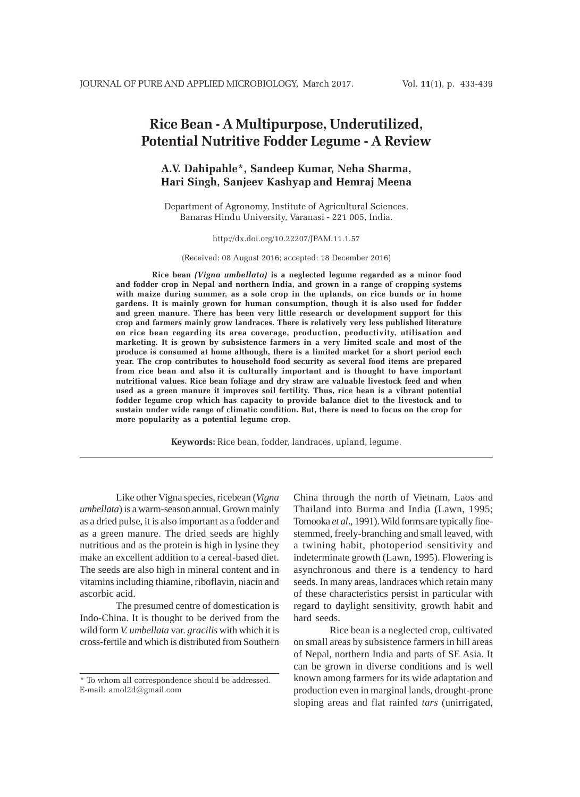# **Rice Bean - A Multipurpose, Underutilized, Potential Nutritive Fodder Legume - A Review**

# **A.V. Dahipahle\*, Sandeep Kumar, Neha Sharma, Hari Singh, Sanjeev Kashyap and Hemraj Meena**

Department of Agronomy, Institute of Agricultural Sciences, Banaras Hindu University, Varanasi - 221 005, India.

#### http://dx.doi.org/10.22207/JPAM.11.1.57

(Received: 08 August 2016; accepted: 18 December 2016)

**Rice bean** *(Vigna umbellata)* **is a neglected legume regarded as a minor food and fodder crop in Nepal and northern India, and grown in a range of cropping systems with maize during summer, as a sole crop in the uplands, on rice bunds or in home gardens. It is mainly grown for human consumption, though it is also used for fodder and green manure. There has been very little research or development support for this crop and farmers mainly grow landraces. There is relatively very less published literature on rice bean regarding its area coverage, production, productivity, utilisation and marketing. It is grown by subsistence farmers in a very limited scale and most of the produce is consumed at home although, there is a limited market for a short period each year. The crop contributes to household food security as several food items are prepared from rice bean and also it is culturally important and is thought to have important nutritional values. Rice bean foliage and dry straw are valuable livestock feed and when used as a green manure it improves soil fertility. Thus, rice bean is a vibrant potential fodder legume crop which has capacity to provide balance diet to the livestock and to sustain under wide range of climatic condition. But, there is need to focus on the crop for more popularity as a potential legume crop.**

**Keywords:** Rice bean, fodder, landraces, upland, legume.

Like other Vigna species, ricebean (*Vigna umbellata*) is a warm-season annual. Grown mainly as a dried pulse, it is also important as a fodder and as a green manure. The dried seeds are highly nutritious and as the protein is high in lysine they make an excellent addition to a cereal-based diet. The seeds are also high in mineral content and in vitamins including thiamine, riboflavin, niacin and ascorbic acid.

The presumed centre of domestication is Indo-China. It is thought to be derived from the wild form *V. umbellata* var. *gracilis* with which it is cross-fertile and which is distributed from Southern China through the north of Vietnam, Laos and Thailand into Burma and India (Lawn, 1995; Tomooka *et al*., 1991). Wild forms are typically finestemmed, freely-branching and small leaved, with a twining habit, photoperiod sensitivity and indeterminate growth (Lawn, 1995). Flowering is asynchronous and there is a tendency to hard seeds. In many areas, landraces which retain many of these characteristics persist in particular with regard to daylight sensitivity, growth habit and hard seeds.

Rice bean is a neglected crop, cultivated on small areas by subsistence farmers in hill areas of Nepal, northern India and parts of SE Asia. It can be grown in diverse conditions and is well known among farmers for its wide adaptation and production even in marginal lands, drought-prone sloping areas and flat rainfed *tars* (unirrigated,

<sup>\*</sup> To whom all correspondence should be addressed. E-mail: amol2d@gmail.com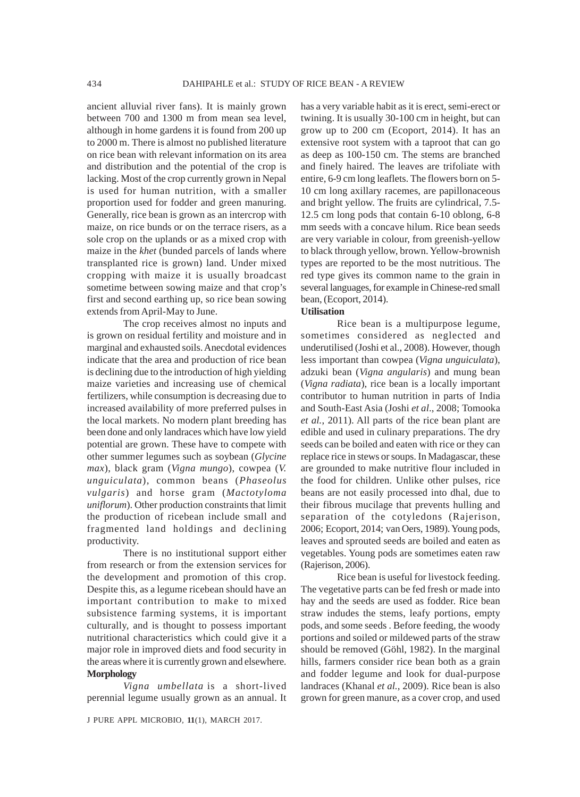ancient alluvial river fans). It is mainly grown between 700 and 1300 m from mean sea level, although in home gardens it is found from 200 up to 2000 m. There is almost no published literature on rice bean with relevant information on its area and distribution and the potential of the crop is lacking. Most of the crop currently grown in Nepal is used for human nutrition, with a smaller proportion used for fodder and green manuring. Generally, rice bean is grown as an intercrop with maize, on rice bunds or on the terrace risers, as a sole crop on the uplands or as a mixed crop with maize in the *khet* (bunded parcels of lands where transplanted rice is grown) land. Under mixed cropping with maize it is usually broadcast sometime between sowing maize and that crop's first and second earthing up, so rice bean sowing extends from April-May to June.

The crop receives almost no inputs and is grown on residual fertility and moisture and in marginal and exhausted soils. Anecdotal evidences indicate that the area and production of rice bean is declining due to the introduction of high yielding maize varieties and increasing use of chemical fertilizers, while consumption is decreasing due to increased availability of more preferred pulses in the local markets. No modern plant breeding has been done and only landraces which have low yield potential are grown. These have to compete with other summer legumes such as soybean (*Glycine max*), black gram (*Vigna mungo*), cowpea (*V. unguiculata*), common beans (*Phaseolus vulgaris*) and horse gram (*Mactotyloma uniflorum*). Other production constraints that limit the production of ricebean include small and fragmented land holdings and declining productivity.

There is no institutional support either from research or from the extension services for the development and promotion of this crop. Despite this, as a legume ricebean should have an important contribution to make to mixed subsistence farming systems, it is important culturally, and is thought to possess important nutritional characteristics which could give it a major role in improved diets and food security in the areas where it is currently grown and elsewhere. **Morphology**

*Vigna umbellata* is a short-lived perennial legume usually grown as an annual. It

J PURE APPL MICROBIO*,* **11**(1), MARCH 2017.

has a very variable habit as it is erect, semi-erect or twining. It is usually 30-100 cm in height, but can grow up to 200 cm (Ecoport, 2014). It has an extensive root system with a taproot that can go as deep as 100-150 cm. The stems are branched and finely haired. The leaves are trifoliate with entire, 6-9 cm long leaflets. The flowers born on 5- 10 cm long axillary racemes, are papillonaceous and bright yellow. The fruits are cylindrical, 7.5- 12.5 cm long pods that contain 6-10 oblong, 6-8 mm seeds with a concave hilum. Rice bean seeds are very variable in colour, from greenish-yellow to black through yellow, brown. Yellow-brownish types are reported to be the most nutritious. The red type gives its common name to the grain in several languages, for example in Chinese-red small bean, (Ecoport, 2014).

### **Utilisation**

Rice bean is a multipurpose legume, sometimes considered as neglected and underutilised (Joshi et al., 2008). However, though less important than cowpea (*Vigna unguiculata*), adzuki bean (*Vigna angularis*) and mung bean (*Vigna radiata*), rice bean is a locally important contributor to human nutrition in parts of India and South-East Asia (Joshi *et al*., 2008; Tomooka *et al.*, 2011). All parts of the rice bean plant are edible and used in culinary preparations. The dry seeds can be boiled and eaten with rice or they can replace rice in stews or soups. In Madagascar, these are grounded to make nutritive flour included in the food for children. Unlike other pulses, rice beans are not easily processed into dhal, due to their fibrous mucilage that prevents hulling and separation of the cotyledons (Rajerison, 2006; Ecoport, 2014; van Oers, 1989). Young pods, leaves and sprouted seeds are boiled and eaten as vegetables. Young pods are sometimes eaten raw (Rajerison, 2006).

Rice bean is useful for livestock feeding. The vegetative parts can be fed fresh or made into hay and the seeds are used as fodder. Rice bean straw indudes the stems, leafy portions, empty pods, and some seeds . Before feeding, the woody portions and soiled or mildewed parts of the straw should be removed (Göhl, 1982). In the marginal hills, farmers consider rice bean both as a grain and fodder legume and look for dual-purpose landraces (Khanal *et al.*, 2009). Rice bean is also grown for green manure, as a cover crop, and used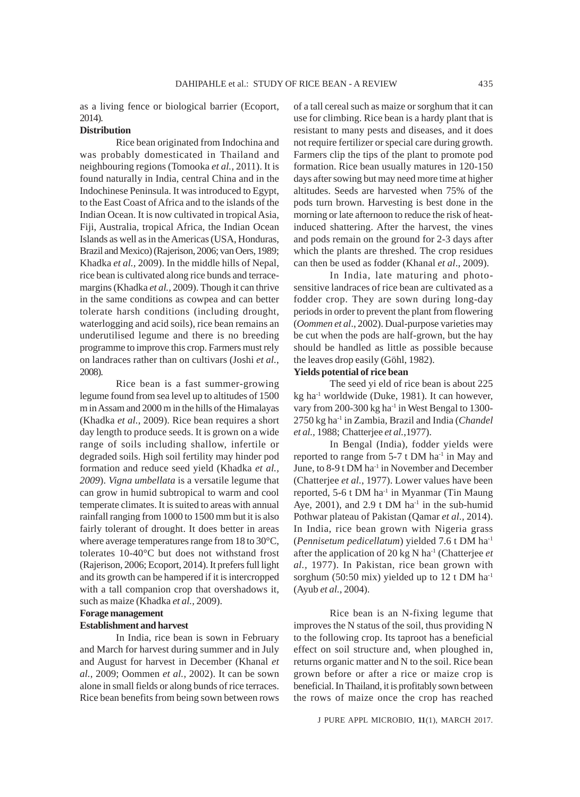as a living fence or biological barrier (Ecoport, 2014).

### **Distribution**

Rice bean originated from Indochina and was probably domesticated in Thailand and neighbouring regions (Tomooka *et al.*, 2011). It is found naturally in India, central China and in the Indochinese Peninsula. It was introduced to Egypt, to the East Coast of Africa and to the islands of the Indian Ocean. It is now cultivated in tropical Asia, Fiji, Australia, tropical Africa, the Indian Ocean Islands as well as in the Americas (USA, Honduras, Brazil and Mexico) (Rajerison, 2006; van Oers, 1989; Khadka *et al.,* 2009). In the middle hills of Nepal, rice bean is cultivated along rice bunds and terracemargins (Khadka *et al.,* 2009). Though it can thrive in the same conditions as cowpea and can better tolerate harsh conditions (including drought, waterlogging and acid soils), rice bean remains an underutilised legume and there is no breeding programme to improve this crop. Farmers must rely on landraces rather than on cultivars (Joshi *et al.*, 2008).

Rice bean is a fast summer-growing legume found from sea level up to altitudes of 1500 m in Assam and 2000 m in the hills of the Himalayas (Khadka *et al.*, 2009). Rice bean requires a short day length to produce seeds. It is grown on a wide range of soils including shallow, infertile or degraded soils. High soil fertility may hinder pod formation and reduce seed yield (Khadka *et al., 2009*). *Vigna umbellata* is a versatile legume that can grow in humid subtropical to warm and cool temperate climates. It is suited to areas with annual rainfall ranging from 1000 to 1500 mm but it is also fairly tolerant of drought. It does better in areas where average temperatures range from 18 to 30°C, tolerates 10-40°C but does not withstand frost (Rajerison, 2006; Ecoport, 2014). It prefers full light and its growth can be hampered if it is intercropped with a tall companion crop that overshadows it, such as maize (Khadka *et al.,* 2009).

# **Forage management**

# **Establishment and harvest**

In India, rice bean is sown in February and March for harvest during summer and in July and August for harvest in December (Khanal *et al.*, 2009; Oommen *et al.,* 2002). It can be sown alone in small fields or along bunds of rice terraces. Rice bean benefits from being sown between rows of a tall cereal such as maize or sorghum that it can use for climbing. Rice bean is a hardy plant that is resistant to many pests and diseases, and it does not require fertilizer or special care during growth. Farmers clip the tips of the plant to promote pod formation. Rice bean usually matures in 120-150 days after sowing but may need more time at higher altitudes. Seeds are harvested when 75% of the pods turn brown. Harvesting is best done in the morning or late afternoon to reduce the risk of heatinduced shattering. After the harvest, the vines and pods remain on the ground for 2-3 days after which the plants are threshed. The crop residues can then be used as fodder (Khanal *et al*., 2009).

In India, late maturing and photosensitive landraces of rice bean are cultivated as a fodder crop. They are sown during long-day periods in order to prevent the plant from flowering (*Oommen et al*., 2002). Dual-purpose varieties may be cut when the pods are half-grown, but the hay should be handled as little as possible because the leaves drop easily (Göhl, 1982).

## **Yields potential of rice bean**

The seed yi eld of rice bean is about 225 kg ha<sup>-1</sup> worldwide (Duke, 1981). It can however, vary from 200-300 kg ha<sup>-1</sup> in West Bengal to 1300-2750 kg ha-1 in Zambia, Brazil and India (*Chandel et al.,* 1988; Chatterjee *et al.*,1977).

In Bengal (India), fodder yields were reported to range from  $5-7$  t DM ha<sup>-1</sup> in May and June, to 8-9 t DM ha<sup>-1</sup> in November and December (Chatterjee *et al.*, 1977). Lower values have been reported, 5-6 t DM ha<sup>-1</sup> in Myanmar (Tin Maung Aye,  $2001$ ), and  $2.9$  t DM ha<sup>-1</sup> in the sub-humid Pothwar plateau of Pakistan (Qamar *et al.,* 2014). In India, rice bean grown with Nigeria grass (*Pennisetum pedicellatum*) yielded 7.6 t DM ha-1 after the application of 20 kg N ha-1 (Chatterjee *et al.,* 1977). In Pakistan, rice bean grown with sorghum (50:50 mix) yielded up to 12 t DM ha<sup>-1</sup> (Ayub *et al.*, 2004).

Rice bean is an N-fixing legume that improves the N status of the soil, thus providing N to the following crop. Its taproot has a beneficial effect on soil structure and, when ploughed in, returns organic matter and N to the soil. Rice bean grown before or after a rice or maize crop is beneficial. In Thailand, it is profitably sown between the rows of maize once the crop has reached

J PURE APPL MICROBIO*,* **11**(1), MARCH 2017.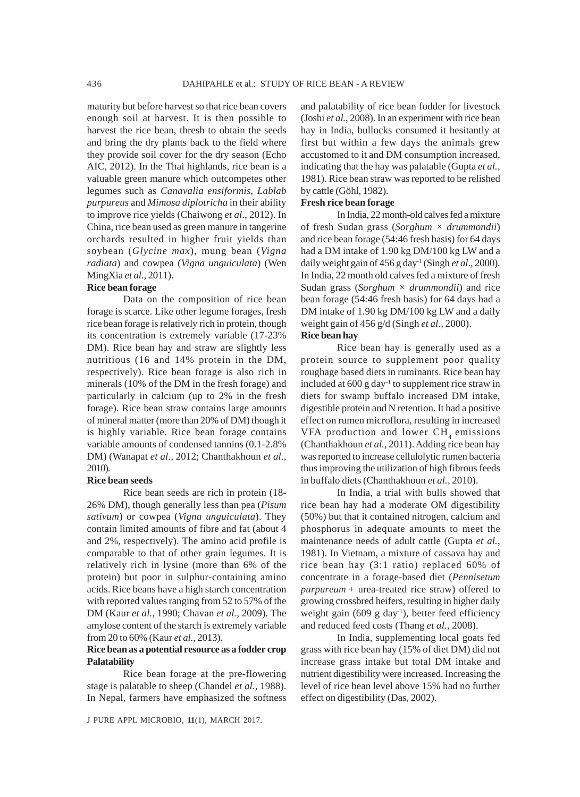maturity but before harvest so that rice bean covers enough soil at harvest. It is then possible to harvest the rice bean, thresh to obtain the seeds and bring the dry plants back to the field where they provide soil cover for the dry season (Echo AIC, 2012). In the Thai highlands, rice bean is a valuable green manure which outcompetes other legumes such as *Canavalia ensiformis*, *Lablab purpureus* and *Mimosa diplotricha* in their ability to improve rice yields (Chaiwong *et al*., 2012). In China, rice bean used as green manure in tangerine orchards resulted in higher fruit yields than soybean (*Glycine max*), mung bean (*Vigna radiata*) and cowpea (*Vigna unguiculata*) (Wen MingXia *et al.,* 2011).

# **Rice bean forage**

Data on the composition of rice bean forage is scarce. Like other legume forages, fresh rice bean forage is relatively rich in protein, though its concentration is extremely variable (17-23% DM). Rice bean hay and straw are slightly less nutritious (16 and 14% protein in the DM, respectively). Rice bean forage is also rich in minerals (10% of the DM in the fresh forage) and particularly in calcium (up to 2% in the fresh forage). Rice bean straw contains large amounts of mineral matter (more than 20% of DM) though it is highly variable. Rice bean forage contains variable amounts of condensed tannins (0.1-2.8% DM) (Wanapat *et al.,* 2012; Chanthakhoun *et al.,* 2010).

#### **Rice bean seeds**

Rice bean seeds are rich in protein (18- 26% DM), though generally less than pea (*Pisum sativum*) or cowpea (*Vigna unguiculata*). They contain limited amounts of fibre and fat (about 4 and 2%, respectively). The amino acid profile is comparable to that of other grain legumes. It is relatively rich in lysine (more than 6% of the protein) but poor in sulphur-containing amino acids. Rice beans have a high starch concentration with reported values ranging from 52 to 57% of the DM (Kaur *et al.*, 1990; Chavan *et al.*, 2009). The amylose content of the starch is extremely variable from 20 to 60% (Kaur *et al.,* 2013).

## **Rice bean as a potential resource as a fodder crop Palatability**

Rice bean forage at the pre-flowering stage is palatable to sheep (Chandel *et al.,* 1988). In Nepal, farmers have emphasized the softness

and palatability of rice bean fodder for livestock (Joshi *et al.*, 2008). In an experiment with rice bean hay in India, bullocks consumed it hesitantly at first but within a few days the animals grew accustomed to it and DM consumption increased, indicating that the hay was palatable (Gupta *et al.*, 1981). Rice bean straw was reported to be relished by cattle (Göhl, 1982).

#### **Fresh rice bean forage**

In India, 22 month-old calves fed a mixture of fresh Sudan grass (*Sorghum × drummondii*) and rice bean forage (54:46 fresh basis) for 64 days had a DM intake of 1.90 kg DM/100 kg LW and a daily weight gain of 456 g day-1 (Singh *et al*., 2000). In India, 22 month old calves fed a mixture of fresh Sudan grass (*Sorghum × drummondii*) and rice bean forage (54:46 fresh basis) for 64 days had a DM intake of 1.90 kg DM/100 kg LW and a daily weight gain of 456 g/d (Singh *et al.,* 2000).

## **Rice bean hay**

Rice bean hay is generally used as a protein source to supplement poor quality roughage based diets in ruminants. Rice bean hay included at  $600 \text{ g day}^{-1}$  to supplement rice straw in diets for swamp buffalo increased DM intake, digestible protein and N retention. It had a positive effect on rumen microflora, resulting in increased VFA production and lower  $\text{CH}_4$  emissions (Chanthakhoun *et al.,* 2011). Adding rice bean hay was reported to increase cellulolytic rumen bacteria thus improving the utilization of high fibrous feeds in buffalo diets (Chanthakhoun *et al.,* 2010).

In India, a trial with bulls showed that rice bean hay had a moderate OM digestibility (50%) but that it contained nitrogen, calcium and phosphorus in adequate amounts to meet the maintenance needs of adult cattle (Gupta *et al.*, 1981). In Vietnam, a mixture of cassava hay and rice bean hay (3:1 ratio) replaced 60% of concentrate in a forage-based diet (*Pennisetum purpureum* + urea-treated rice straw) offered to growing crossbred heifers, resulting in higher daily weight gain (609 g day<sup>-1</sup>), better feed efficiency and reduced feed costs (Thang *et al.,* 2008).

In India, supplementing local goats fed grass with rice bean hay (15% of diet DM) did not increase grass intake but total DM intake and nutrient digestibility were increased. Increasing the level of rice bean level above 15% had no further effect on digestibility (Das, 2002).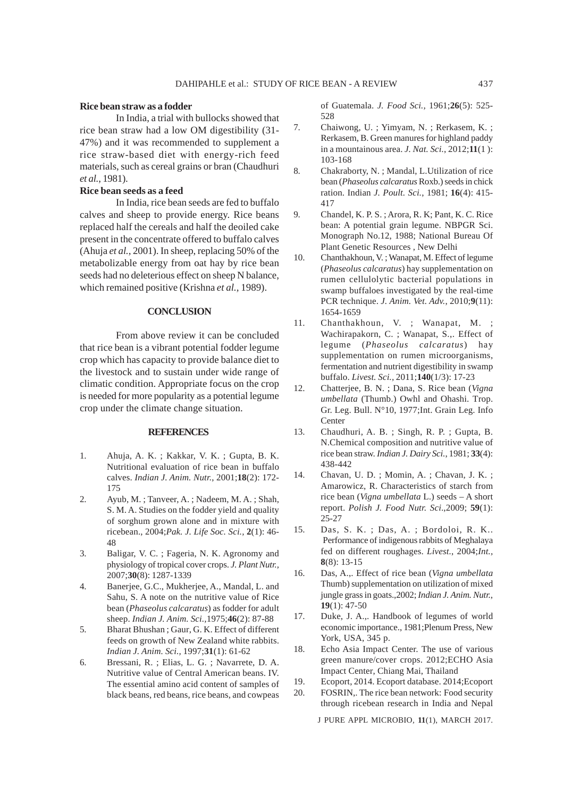### **Rice bean straw as a fodder**

In India, a trial with bullocks showed that rice bean straw had a low OM digestibility (31- 47%) and it was recommended to supplement a rice straw-based diet with energy-rich feed materials, such as cereal grains or bran (Chaudhuri *et al.*, 1981).

## **Rice bean seeds as a feed**

In India, rice bean seeds are fed to buffalo calves and sheep to provide energy. Rice beans replaced half the cereals and half the deoiled cake present in the concentrate offered to buffalo calves (Ahuja *et al.,* 2001). In sheep, replacing 50% of the metabolizable energy from oat hay by rice bean seeds had no deleterious effect on sheep N balance, which remained positive (Krishna *et al.,* 1989).

## **CONCLUSION**

From above review it can be concluded that rice bean is a vibrant potential fodder legume crop which has capacity to provide balance diet to the livestock and to sustain under wide range of climatic condition. Appropriate focus on the crop is needed for more popularity as a potential legume crop under the climate change situation.

## **REFERENCES**

- 1. Ahuja, A. K. ; Kakkar, V. K. ; Gupta, B. K. Nutritional evaluation of rice bean in buffalo calves. *Indian J. Anim. Nutr.*, 2001;**18**(2): 172- 175
- 2. Ayub, M. ; Tanveer, A. ; Nadeem, M. A. ; Shah, S. M. A. Studies on the fodder yield and quality of sorghum grown alone and in mixture with ricebean., 2004;*Pak. J. Life Soc. Sci.,* **2**(1): 46- 48
- 3. Baligar, V. C. ; Fageria, N. K. Agronomy and physiology of tropical cover crops. *J. Plant Nutr.,* 2007;**30**(8): 1287-1339
- 4. Banerjee, G.C., Mukherjee, A., Mandal, L. and Sahu, S. A note on the nutritive value of Rice bean (*Phaseolus calcaratus*) as fodder for adult sheep. *Indian J. Anim. Sci.,*1975;**46**(2): 87-88
- 5. Bharat Bhushan ; Gaur, G. K. Effect of different feeds on growth of New Zealand white rabbits. *Indian J. Anim. Sci.,* 1997;**31**(1): 61-62
- 6. Bressani, R. ; Elias, L. G. ; Navarrete, D. A. Nutritive value of Central American beans. IV. The essential amino acid content of samples of black beans, red beans, rice beans, and cowpeas

of Guatemala. *J. Food Sci.,* 1961;**26**(5): 525- 528

- 7. Chaiwong, U. ; Yimyam, N. ; Rerkasem, K. ; Rerkasem, B. Green manures for highland paddy in a mountainous area. *J. Nat. Sci.*, 2012;**11**(1 ): 103-168
- 8. Chakraborty, N. ; Mandal, L.Utilization of rice bean (*Phaseolus calcaratus* Roxb.) seeds in chick ration. Indian *J. Poult. Sci.*, 1981; **16**(4): 415- 417
- 9. Chandel, K. P. S. ; Arora, R. K; Pant, K. C. Rice bean: A potential grain legume. NBPGR Sci. Monograph No.12, 1988; National Bureau Of Plant Genetic Resources , New Delhi
- 10. Chanthakhoun, V. ; Wanapat, M. Effect of legume (*Phaseolus calcaratus*) hay supplementation on rumen cellulolytic bacterial populations in swamp buffaloes investigated by the real-time PCR technique. *J. Anim. Vet. Adv.*, 2010;**9**(11): 1654-1659
- 11. Chanthakhoun, V. ; Wanapat, M. ; Wachirapakorn, C. ; Wanapat, S.,. Effect of legume (*Phaseolus calcaratus*) hay supplementation on rumen microorganisms, fermentation and nutrient digestibility in swamp buffalo. *Livest. Sci.,* 2011;**140**(1/3): 17-23
- 12. Chatterjee, B. N. ; Dana, S. Rice bean (*Vigna umbellata* (Thumb.) Owhl and Ohashi. Trop. Gr. Leg. Bull. N°10, 1977;Int. Grain Leg. Info Center
- 13. Chaudhuri, A. B. ; Singh, R. P. ; Gupta, B. N.Chemical composition and nutritive value of rice bean straw. *Indian J. Dairy Sci.*, 1981; **33**(4): 438-442
- 14. Chavan, U. D. ; Momin, A. ; Chavan, J. K. ; Amarowicz, R. Characteristics of starch from rice bean (*Vigna umbellata* L.) seeds – A short report. *Polish J. Food Nutr. Sci*.,2009; **59**(1): 25-27
- 15. Das, S. K. ; Das, A. ; Bordoloi, R. K.. Performance of indigenous rabbits of Meghalaya fed on different roughages. *Livest.*, 2004;*Int.,* **8**(8): 13-15
- 16. Das, A.,. Effect of rice bean (*Vigna umbellata* Thumb) supplementation on utilization of mixed jungle grass in goats.,2002; *Indian J. Anim. Nutr.*, **19**(1): 47-50
- 17. Duke, J. A.,. Handbook of legumes of world economic importance., 1981;Plenum Press, New York, USA, 345 p.
- 18. Echo Asia Impact Center. The use of various green manure/cover crops. 2012;ECHO Asia Impact Center, Chiang Mai, Thailand
- 19. Ecoport, 2014. Ecoport database. 2014;Ecoport
- 20. FOSRIN,. The rice bean network: Food security through ricebean research in India and Nepal

J PURE APPL MICROBIO*,* **11**(1), MARCH 2017.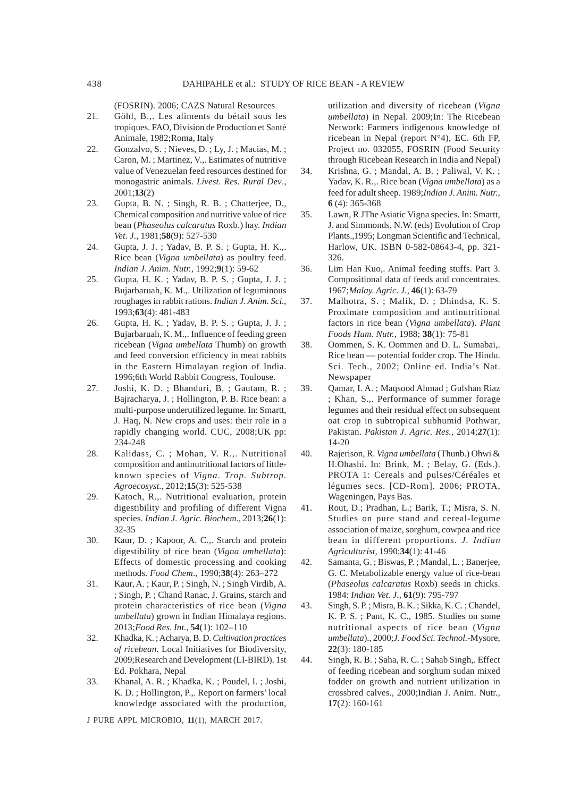(FOSRIN). 2006; CAZS Natural Resources

- 21. Göhl, B.,. Les aliments du bétail sous les tropiques. FAO, Division de Production et Santé Animale, 1982;Roma, Italy
- 22. Gonzalvo, S. ; Nieves, D. ; Ly, J. ; Macias, M. ; Caron, M. ; Martinez, V.,. Estimates of nutritive value of Venezuelan feed resources destined for monogastric animals. *Livest. Res*. *Rural Dev*., 2001;**13**(2)
- 23. Gupta, B. N. ; Singh, R. B. ; Chatterjee, D., Chemical composition and nutritive value of rice bean (*Phaseolus calcaratus* Roxb.) hay. *Indian Vet. J.*, 1981;**58**(9): 527-530
- 24. Gupta, J. J. ; Yadav, B. P. S. ; Gupta, H. K.,. Rice bean (*Vigna umbellata*) as poultry feed. *Indian J. Anim. Nutr.*, 1992;**9**(1): 59-62
- 25. Gupta, H. K. ; Yadav, B. P. S. ; Gupta, J. J. ; Bujarbaruah, K. M.,. Utilization of leguminous roughages in rabbit rations. *Indian J. Anim. Sci.*, 1993;**63**(4): 481-483
- 26. Gupta, H. K. ; Yadav, B. P. S. ; Gupta, J. J. ; Bujarbaruah, K. M.,. Influence of feeding green ricebean (*Vigna umbellata* Thumb) on growth and feed conversion efficiency in meat rabbits in the Eastern Himalayan region of India. 1996;6th World Rabbit Congress, Toulouse.
- 27. Joshi, K. D. ; Bhanduri, B. ; Gautam, R. ; Bajracharya, J. ; Hollington, P. B. Rice bean: a multi-purpose underutilized legume. In: Smartt, J. Haq, N. New crops and uses: their role in a rapidly changing world. CUC, 2008;UK pp: 234-248
- 28. Kalidass, C. ; Mohan, V. R.,. Nutritional composition and antinutritional factors of littleknown species of *Vigna*. *Trop. Subtrop. Agroecosyst.*, 2012;**15**(3): 525-538
- 29. Katoch, R.,. Nutritional evaluation, protein digestibility and profiling of different Vigna species. *Indian J. Agric. Biochem*., 2013;**26**(1): 32-35
- 30. Kaur, D. ; Kapoor, A. C.,. Starch and protein digestibility of rice bean (*Vigna umbellata*): Effects of domestic processing and cooking methods. *Food Chem*., 1990;**38**(4): 263–272
- 31. Kaur, A. ; Kaur, P. ; Singh, N. ; Singh Virdib, A. ; Singh, P. ; Chand Ranac, J. Grains, starch and protein characteristics of rice bean (*Vigna umbellata*) grown in Indian Himalaya regions. 2013;*Food Res. Int.*, **54**(1): 102–110
- 32. Khadka, K. ; Acharya, B. D. *Cultivation practices of ricebean*. Local Initiatives for Biodiversity, 2009;Research and Development (LI-BIRD). 1st Ed. Pokhara, Nepal
- 33. Khanal, A. R. ; Khadka, K. ; Poudel, I. ; Joshi, K. D. ; Hollington, P.,. Report on farmers' local knowledge associated with the production,

J PURE APPL MICROBIO*,* **11**(1), MARCH 2017.

utilization and diversity of ricebean (*Vigna umbellata*) in Nepal. 2009;In: The Ricebean Network: Farmers indigenous knowledge of ricebean in Nepal (report N°4), EC. 6th FP, Project no. 032055, FOSRIN (Food Security through Ricebean Research in India and Nepal)

- 34. Krishna, G. ; Mandal, A. B. ; Paliwal, V. K. ; Yadav, K. R.,. Rice bean (*Vigna umbellata*) as a feed for adult sheep. 1989;*Indian J. Anim. Nutr.*, **6** (4): 365-368
- 35. Lawn, R JThe Asiatic Vigna species. In: Smartt, J. and Simmonds, N.W. (eds) Evolution of Crop Plants.,1995; Longman Scientific and Technical, Harlow, UK. ISBN 0-582-08643-4, pp. 321- 326.
- 36. Lim Han Kuo,. Animal feeding stuffs. Part 3. Compositional data of feeds and concentrates. 1967;*Malay. Agric. J.,* **46**(1): 63-79
- 37. Malhotra, S. ; Malik, D. ; Dhindsa, K. S. Proximate composition and antinutritional factors in rice bean (*Vigna umbellata*). *Plant Foods Hum. Nutr.,* 1988; **38**(1): 75-81
- 38. Oommen, S. K. Oommen and D. L. Sumabai,. Rice bean — potential fodder crop. The Hindu. Sci. Tech., 2002; Online ed. India's Nat. Newspaper
- 39. Qamar, I. A. ; Maqsood Ahmad ; Gulshan Riaz ; Khan, S.,. Performance of summer forage legumes and their residual effect on subsequent oat crop in subtropical subhumid Pothwar, Pakistan. *Pakistan J. Agric. Res.,* 2014;**27**(1): 14-20
- 40. Rajerison, R. *Vigna umbellata* (Thunb.) Ohwi & H.Ohashi. In: Brink, M. ; Belay, G. (Eds.). PROTA 1: Cereals and pulses/Céréales et légumes secs. [CD-Rom]. 2006; PROTA, Wageningen, Pays Bas.
- 41. Rout, D.; Pradhan, L.; Barik, T.; Misra, S. N. Studies on pure stand and cereal-legume association of maize, sorghum, cowpea and rice bean in different proportions. *J. Indian Agriculturist*, 1990;**34**(1): 41-46
- 42. Samanta, G. ; Biswas, P. ; Mandal, L. ; Banerjee, G. C. Metabolizable energy value of rice-bean (*Phaseolus calcaratus* Roxb) seeds in chicks. 1984: *Indian Vet. J.,* **61**(9): 795-797
- 43. Singh, S. P. ; Misra, B. K. ; Sikka, K. C. ; Chandel, K. P. S. ; Pant, K. C., 1985. Studies on some nutritional aspects of rice bean (*Vigna umbellata*)., 2000;*J. Food Sci. Technol.*-Mysore, **22**(3): 180-185
- 44. Singh, R. B. ; Saha, R. C. ; Sahab Singh,. Effect of feeding ricebean and sorghum sudan mixed fodder on growth and nutrient utilization in crossbred calves., 2000;Indian J. Anim. Nutr., **17**(2): 160-161